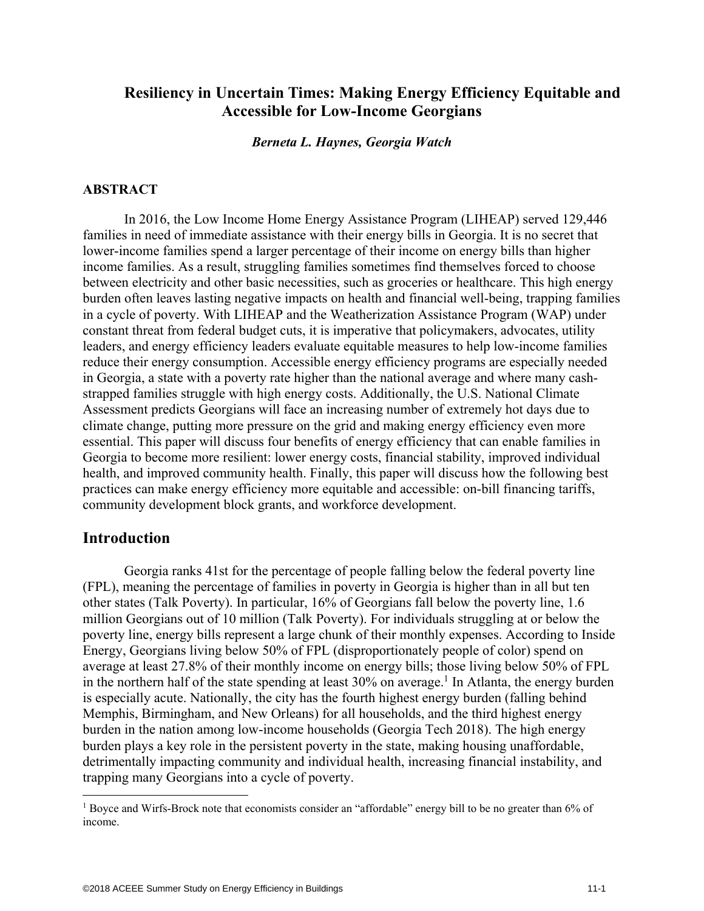### **Resiliency in Uncertain Times: Making Energy Efficiency Equitable and Accessible for Low-Income Georgians**

*Berneta L. Haynes, Georgia Watch* 

#### **ABSTRACT**

In 2016, the Low Income Home Energy Assistance Program (LIHEAP) served 129,446 families in need of immediate assistance with their energy bills in Georgia. It is no secret that lower-income families spend a larger percentage of their income on energy bills than higher income families. As a result, struggling families sometimes find themselves forced to choose between electricity and other basic necessities, such as groceries or healthcare. This high energy burden often leaves lasting negative impacts on health and financial well-being, trapping families in a cycle of poverty. With LIHEAP and the Weatherization Assistance Program (WAP) under constant threat from federal budget cuts, it is imperative that policymakers, advocates, utility leaders, and energy efficiency leaders evaluate equitable measures to help low-income families reduce their energy consumption. Accessible energy efficiency programs are especially needed in Georgia, a state with a poverty rate higher than the national average and where many cashstrapped families struggle with high energy costs. Additionally, the U.S. National Climate Assessment predicts Georgians will face an increasing number of extremely hot days due to climate change, putting more pressure on the grid and making energy efficiency even more essential. This paper will discuss four benefits of energy efficiency that can enable families in Georgia to become more resilient: lower energy costs, financial stability, improved individual health, and improved community health. Finally, this paper will discuss how the following best practices can make energy efficiency more equitable and accessible: on-bill financing tariffs, community development block grants, and workforce development.

#### **Introduction**

 $\overline{a}$ 

Georgia ranks 41st for the percentage of people falling below the federal poverty line (FPL), meaning the percentage of families in poverty in Georgia is higher than in all but ten other states (Talk Poverty). In particular, 16% of Georgians fall below the poverty line, 1.6 million Georgians out of 10 million (Talk Poverty). For individuals struggling at or below the poverty line, energy bills represent a large chunk of their monthly expenses. According to Inside Energy, Georgians living below 50% of FPL (disproportionately people of color) spend on average at least 27.8% of their monthly income on energy bills; those living below 50% of FPL in the northern half of the state spending at least  $30\%$  on average.<sup>1</sup> In Atlanta, the energy burden is especially acute. Nationally, the city has the fourth highest energy burden (falling behind Memphis, Birmingham, and New Orleans) for all households, and the third highest energy burden in the nation among low-income households (Georgia Tech 2018). The high energy burden plays a key role in the persistent poverty in the state, making housing unaffordable, detrimentally impacting community and individual health, increasing financial instability, and trapping many Georgians into a cycle of poverty.

<sup>&</sup>lt;sup>1</sup> Boyce and Wirfs-Brock note that economists consider an "affordable" energy bill to be no greater than 6% of income.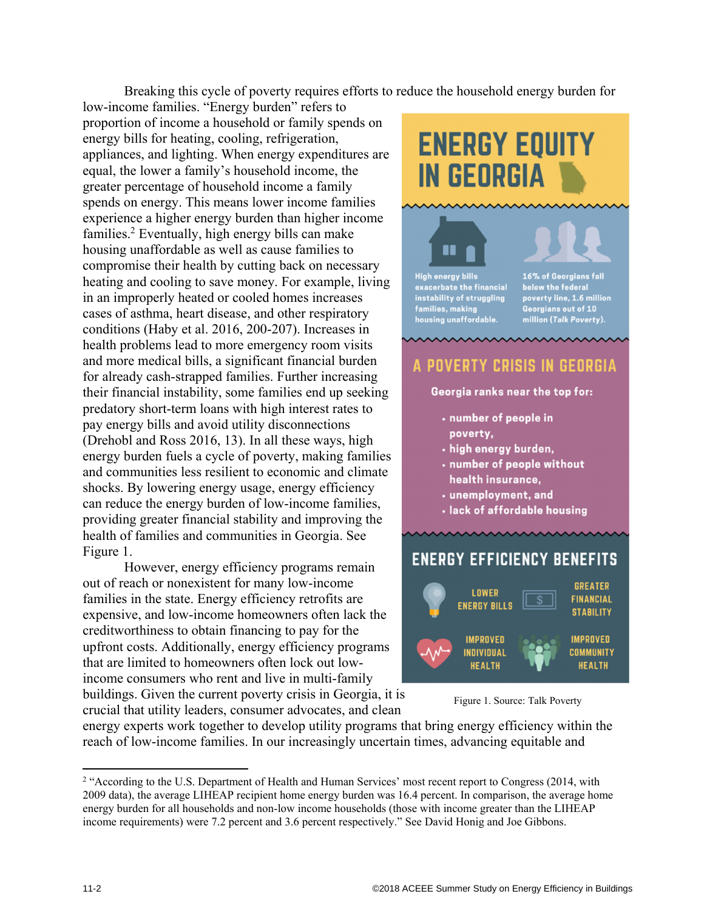Breaking this cycle of poverty requires efforts to reduce the household energy burden for

low-income families. "Energy burden" refers to proportion of income a household or family spends on energy bills for heating, cooling, refrigeration, appliances, and lighting. When energy expenditures are equal, the lower a family's household income, the greater percentage of household income a family spends on energy. This means lower income families experience a higher energy burden than higher income families.<sup>2</sup> Eventually, high energy bills can make housing unaffordable as well as cause families to compromise their health by cutting back on necessary heating and cooling to save money. For example, living in an improperly heated or cooled homes increases cases of asthma, heart disease, and other respiratory conditions (Haby et al. 2016, 200-207). Increases in health problems lead to more emergency room visits and more medical bills, a significant financial burden for already cash-strapped families. Further increasing their financial instability, some families end up seeking predatory short-term loans with high interest rates to pay energy bills and avoid utility disconnections (Drehobl and Ross 2016, 13). In all these ways, high energy burden fuels a cycle of poverty, making families and communities less resilient to economic and climate shocks. By lowering energy usage, energy efficiency can reduce the energy burden of low-income families, providing greater financial stability and improving the health of families and communities in Georgia. See Figure 1.

However, energy efficiency programs remain out of reach or nonexistent for many low-income families in the state. Energy efficiency retrofits are expensive, and low-income homeowners often lack the creditworthiness to obtain financing to pay for the upfront costs. Additionally, energy efficiency programs that are limited to homeowners often lock out lowincome consumers who rent and live in multi-family buildings. Given the current poverty crisis in Georgia, it is crucial that utility leaders, consumer advocates, and clean

# **ENERGY EQUITY IN GEORGIA**

## **High energy bills** exacerbate the financial<br>instability of struggling<br>families, making<br>housing unaffordable.

n

16% of Georgians fall below the federal<br>poverty line, 1.6 million<br>Georgians out of 10<br>million (Talk Poverty).

## A POVERTY CRISIS IN GEORGIA

Georgia ranks near the top for:

- · number of people in poverty,
- · high energy burden,
- . number of people without health insurance,
- unemployment, and
- · lack of affordable housing

## **ENERGY EFFICIENCY BENEFITS**



Figure 1. Source: Talk Poverty

energy experts work together to develop utility programs that bring energy efficiency within the reach of low-income families. In our increasingly uncertain times, advancing equitable and

 $\overline{\phantom{a}}$ 

<sup>&</sup>lt;sup>2</sup> "According to the U.S. Department of Health and Human Services' most recent report to Congress (2014, with 2009 data), the average LIHEAP recipient home energy burden was 16.4 percent. In comparison, the average home energy burden for all households and non-low income households (those with income greater than the LIHEAP income requirements) were 7.2 percent and 3.6 percent respectively." See David Honig and Joe Gibbons.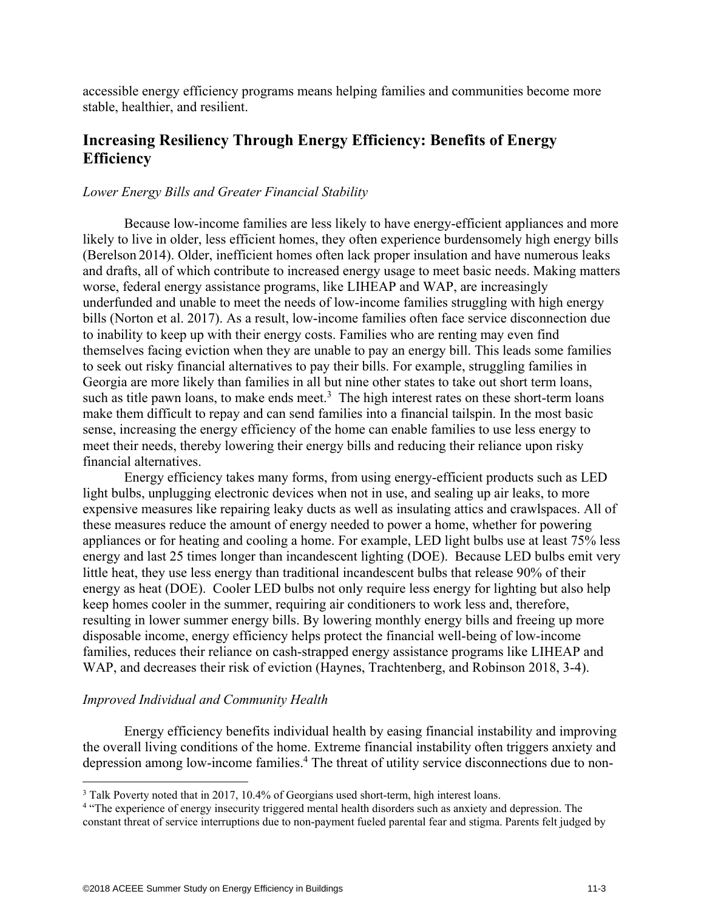accessible energy efficiency programs means helping families and communities become more stable, healthier, and resilient.

## **Increasing Resiliency Through Energy Efficiency: Benefits of Energy Efficiency**

#### *Lower Energy Bills and Greater Financial Stability*

Because low-income families are less likely to have energy-efficient appliances and more likely to live in older, less efficient homes, they often experience burdensomely high energy bills (Berelson 2014). Older, inefficient homes often lack proper insulation and have numerous leaks and drafts, all of which contribute to increased energy usage to meet basic needs. Making matters worse, federal energy assistance programs, like LIHEAP and WAP, are increasingly underfunded and unable to meet the needs of low-income families struggling with high energy bills (Norton et al. 2017). As a result, low-income families often face service disconnection due to inability to keep up with their energy costs. Families who are renting may even find themselves facing eviction when they are unable to pay an energy bill. This leads some families to seek out risky financial alternatives to pay their bills. For example, struggling families in Georgia are more likely than families in all but nine other states to take out short term loans, such as title pawn loans, to make ends meet.<sup>3</sup> The high interest rates on these short-term loans make them difficult to repay and can send families into a financial tailspin. In the most basic sense, increasing the energy efficiency of the home can enable families to use less energy to meet their needs, thereby lowering their energy bills and reducing their reliance upon risky financial alternatives.

Energy efficiency takes many forms, from using energy-efficient products such as LED light bulbs, unplugging electronic devices when not in use, and sealing up air leaks, to more expensive measures like repairing leaky ducts as well as insulating attics and crawlspaces. All of these measures reduce the amount of energy needed to power a home, whether for powering appliances or for heating and cooling a home. For example, LED light bulbs use at least 75% less energy and last 25 times longer than incandescent lighting (DOE). Because LED bulbs emit very little heat, they use less energy than traditional incandescent bulbs that release 90% of their energy as heat (DOE). Cooler LED bulbs not only require less energy for lighting but also help keep homes cooler in the summer, requiring air conditioners to work less and, therefore, resulting in lower summer energy bills. By lowering monthly energy bills and freeing up more disposable income, energy efficiency helps protect the financial well-being of low-income families, reduces their reliance on cash-strapped energy assistance programs like LIHEAP and WAP, and decreases their risk of eviction (Haynes, Trachtenberg, and Robinson 2018, 3-4).

#### *Improved Individual and Community Health*

 $\overline{a}$ 

Energy efficiency benefits individual health by easing financial instability and improving the overall living conditions of the home. Extreme financial instability often triggers anxiety and depression among low-income families.<sup>4</sup> The threat of utility service disconnections due to non-

 $3$  Talk Poverty noted that in 2017, 10.4% of Georgians used short-term, high interest loans.<br><sup>4</sup> "The experience of energy insecurity triggered mental health disorders such as anxiety and

<sup>&</sup>lt;sup>4</sup> "The experience of energy insecurity triggered mental health disorders such as anxiety and depression. The constant threat of service interruptions due to non-payment fueled parental fear and stigma. Parents felt judged by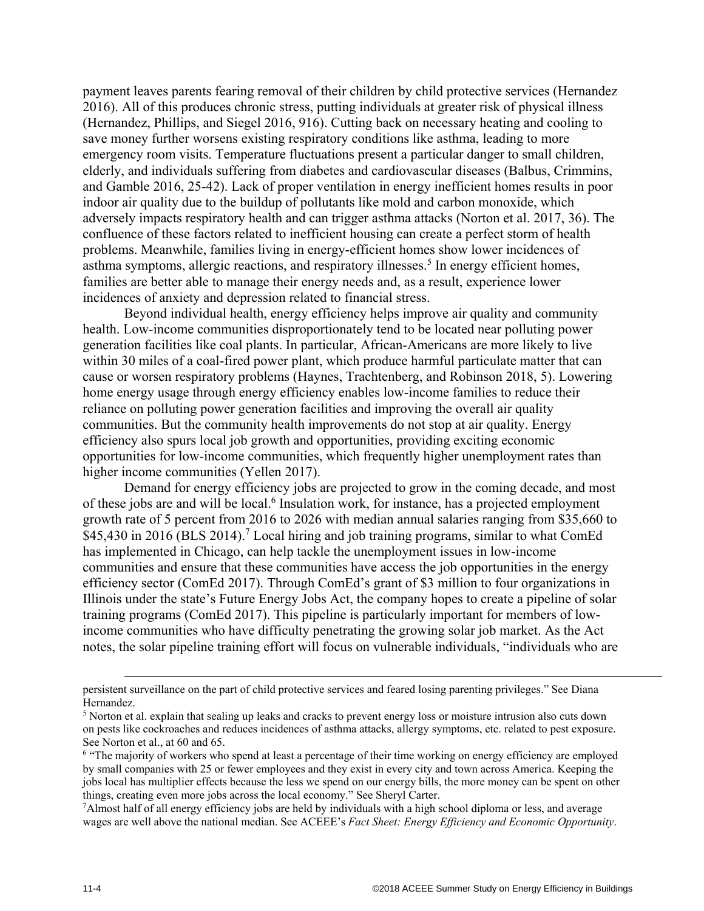payment leaves parents fearing removal of their children by child protective services (Hernandez 2016). All of this produces chronic stress, putting individuals at greater risk of physical illness (Hernandez, Phillips, and Siegel 2016, 916). Cutting back on necessary heating and cooling to save money further worsens existing respiratory conditions like asthma, leading to more emergency room visits. Temperature fluctuations present a particular danger to small children, elderly, and individuals suffering from diabetes and cardiovascular diseases (Balbus, Crimmins, and Gamble 2016, 25-42). Lack of proper ventilation in energy inefficient homes results in poor indoor air quality due to the buildup of pollutants like mold and carbon monoxide, which adversely impacts respiratory health and can trigger asthma attacks (Norton et al. 2017, 36). The confluence of these factors related to inefficient housing can create a perfect storm of health problems. Meanwhile, families living in energy-efficient homes show lower incidences of asthma symptoms, allergic reactions, and respiratory illnesses.<sup>5</sup> In energy efficient homes, families are better able to manage their energy needs and, as a result, experience lower incidences of anxiety and depression related to financial stress.

Beyond individual health, energy efficiency helps improve air quality and community health. Low-income communities disproportionately tend to be located near polluting power generation facilities like coal plants. In particular, African-Americans are more likely to live within 30 miles of a coal-fired power plant, which produce harmful particulate matter that can cause or worsen respiratory problems (Haynes, Trachtenberg, and Robinson 2018, 5). Lowering home energy usage through energy efficiency enables low-income families to reduce their reliance on polluting power generation facilities and improving the overall air quality communities. But the community health improvements do not stop at air quality. Energy efficiency also spurs local job growth and opportunities, providing exciting economic opportunities for low-income communities, which frequently higher unemployment rates than higher income communities (Yellen 2017).

Demand for energy efficiency jobs are projected to grow in the coming decade, and most of these jobs are and will be local.<sup>6</sup> Insulation work, for instance, has a projected employment growth rate of 5 percent from 2016 to 2026 with median annual salaries ranging from \$35,660 to \$45,430 in 2016 (BLS 2014).<sup>7</sup> Local hiring and job training programs, similar to what ComEd has implemented in Chicago, can help tackle the unemployment issues in low-income communities and ensure that these communities have access the job opportunities in the energy efficiency sector (ComEd 2017). Through ComEd's grant of \$3 million to four organizations in Illinois under the state's Future Energy Jobs Act, the company hopes to create a pipeline of solar training programs (ComEd 2017). This pipeline is particularly important for members of lowincome communities who have difficulty penetrating the growing solar job market. As the Act notes, the solar pipeline training effort will focus on vulnerable individuals, "individuals who are

persistent surveillance on the part of child protective services and feared losing parenting privileges." See Diana Hernandez.

<sup>&</sup>lt;sup>5</sup> Norton et al. explain that sealing up leaks and cracks to prevent energy loss or moisture intrusion also cuts down on pests like cockroaches and reduces incidences of asthma attacks, allergy symptoms, etc. related to pest exposure. See Norton et al., at 60 and 65.

<sup>&</sup>lt;sup>6</sup> "The majority of workers who spend at least a percentage of their time working on energy efficiency are employed by small companies with 25 or fewer employees and they exist in every city and town across America. Keeping the jobs local has multiplier effects because the less we spend on our energy bills, the more money can be spent on other things, creating even more jobs across the local economy." See Sheryl Carter. 7

<sup>&</sup>lt;sup>7</sup>Almost half of all energy efficiency jobs are held by individuals with a high school diploma or less, and average wages are well above the national median. See ACEEE's *Fact Sheet: Energy Efficiency and Economic Opportunity*.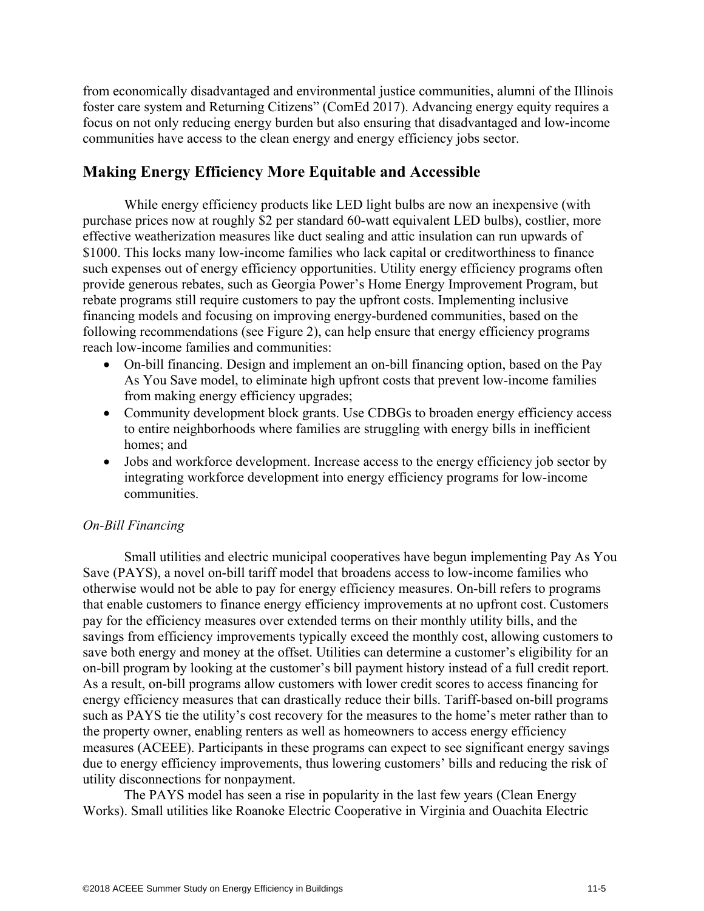from economically disadvantaged and environmental justice communities, alumni of the Illinois foster care system and Returning Citizens" (ComEd 2017). Advancing energy equity requires a focus on not only reducing energy burden but also ensuring that disadvantaged and low-income communities have access to the clean energy and energy efficiency jobs sector.

#### **Making Energy Efficiency More Equitable and Accessible**

While energy efficiency products like LED light bulbs are now an inexpensive (with purchase prices now at roughly \$2 per standard 60-watt equivalent LED bulbs), costlier, more effective weatherization measures like duct sealing and attic insulation can run upwards of \$1000. This locks many low-income families who lack capital or creditworthiness to finance such expenses out of energy efficiency opportunities. Utility energy efficiency programs often provide generous rebates, such as Georgia Power's Home Energy Improvement Program, but rebate programs still require customers to pay the upfront costs. Implementing inclusive financing models and focusing on improving energy-burdened communities, based on the following recommendations (see Figure 2), can help ensure that energy efficiency programs reach low-income families and communities:

- On-bill financing. Design and implement an on-bill financing option, based on the Pay As You Save model, to eliminate high upfront costs that prevent low-income families from making energy efficiency upgrades;
- Community development block grants. Use CDBGs to broaden energy efficiency access to entire neighborhoods where families are struggling with energy bills in inefficient homes; and
- Jobs and workforce development. Increase access to the energy efficiency job sector by integrating workforce development into energy efficiency programs for low-income communities.

#### *On-Bill Financing*

Small utilities and electric municipal cooperatives have begun implementing Pay As You Save (PAYS), a novel on-bill tariff model that broadens access to low-income families who otherwise would not be able to pay for energy efficiency measures. On-bill refers to programs that enable customers to finance energy efficiency improvements at no upfront cost. Customers pay for the efficiency measures over extended terms on their monthly utility bills, and the savings from efficiency improvements typically exceed the monthly cost, allowing customers to save both energy and money at the offset. Utilities can determine a customer's eligibility for an on-bill program by looking at the customer's bill payment history instead of a full credit report. As a result, on-bill programs allow customers with lower credit scores to access financing for energy efficiency measures that can drastically reduce their bills. Tariff-based on-bill programs such as PAYS tie the utility's cost recovery for the measures to the home's meter rather than to the property owner, enabling renters as well as homeowners to access energy efficiency measures (ACEEE). Participants in these programs can expect to see significant energy savings due to energy efficiency improvements, thus lowering customers' bills and reducing the risk of utility disconnections for nonpayment.

The PAYS model has seen a rise in popularity in the last few years (Clean Energy Works). Small utilities like Roanoke Electric Cooperative in Virginia and Ouachita Electric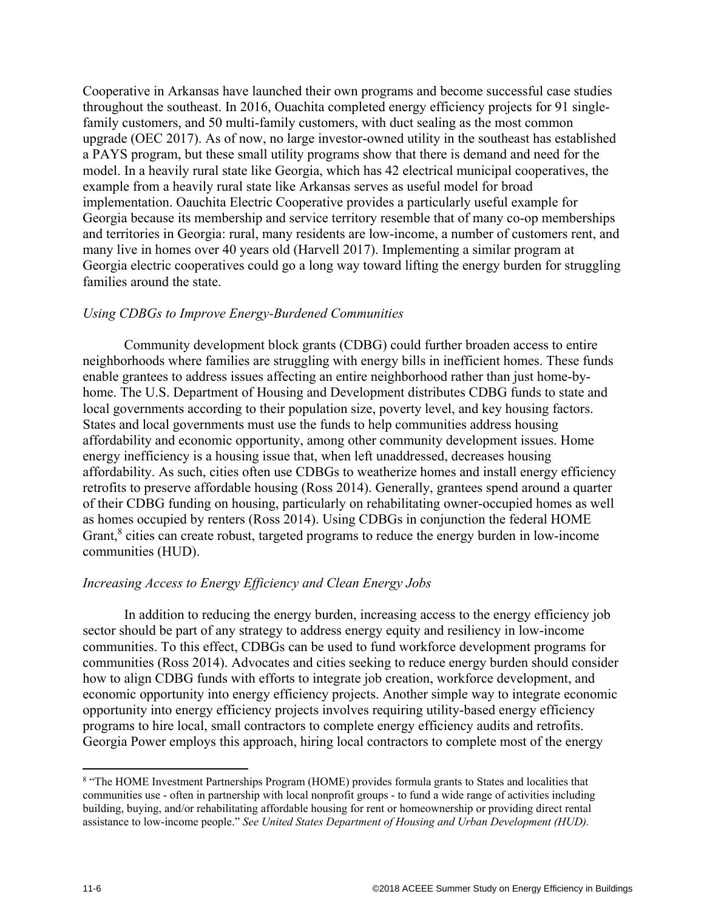Cooperative in Arkansas have launched their own programs and become successful case studies throughout the southeast. In 2016, Ouachita completed energy efficiency projects for 91 singlefamily customers, and 50 multi-family customers, with duct sealing as the most common upgrade (OEC 2017). As of now, no large investor-owned utility in the southeast has established a PAYS program, but these small utility programs show that there is demand and need for the model. In a heavily rural state like Georgia, which has 42 electrical municipal cooperatives, the example from a heavily rural state like Arkansas serves as useful model for broad implementation. Oauchita Electric Cooperative provides a particularly useful example for Georgia because its membership and service territory resemble that of many co-op memberships and territories in Georgia: rural, many residents are low-income, a number of customers rent, and many live in homes over 40 years old (Harvell 2017). Implementing a similar program at Georgia electric cooperatives could go a long way toward lifting the energy burden for struggling families around the state.

#### *Using CDBGs to Improve Energy-Burdened Communities*

Community development block grants (CDBG) could further broaden access to entire neighborhoods where families are struggling with energy bills in inefficient homes. These funds enable grantees to address issues affecting an entire neighborhood rather than just home-byhome. The U.S. Department of Housing and Development distributes CDBG funds to state and local governments according to their population size, poverty level, and key housing factors. States and local governments must use the funds to help communities address housing affordability and economic opportunity, among other community development issues. Home energy inefficiency is a housing issue that, when left unaddressed, decreases housing affordability. As such, cities often use CDBGs to weatherize homes and install energy efficiency retrofits to preserve affordable housing (Ross 2014). Generally, grantees spend around a quarter of their CDBG funding on housing, particularly on rehabilitating owner-occupied homes as well as homes occupied by renters (Ross 2014). Using CDBGs in conjunction the federal HOME Grant,<sup>8</sup> cities can create robust, targeted programs to reduce the energy burden in low-income communities (HUD).

#### *Increasing Access to Energy Efficiency and Clean Energy Jobs*

In addition to reducing the energy burden, increasing access to the energy efficiency job sector should be part of any strategy to address energy equity and resiliency in low-income communities. To this effect, CDBGs can be used to fund workforce development programs for communities (Ross 2014). Advocates and cities seeking to reduce energy burden should consider how to align CDBG funds with efforts to integrate job creation, workforce development, and economic opportunity into energy efficiency projects. Another simple way to integrate economic opportunity into energy efficiency projects involves requiring utility-based energy efficiency programs to hire local, small contractors to complete energy efficiency audits and retrofits. Georgia Power employs this approach, hiring local contractors to complete most of the energy

 $\overline{a}$ 

<sup>&</sup>lt;sup>8</sup> "The HOME Investment Partnerships Program (HOME) provides formula grants to States and localities that communities use - often in partnership with local nonprofit groups - to fund a wide range of activities including building, buying, and/or rehabilitating affordable housing for rent or homeownership or providing direct rental assistance to low-income people." *See United States Department of Housing and Urban Development (HUD).*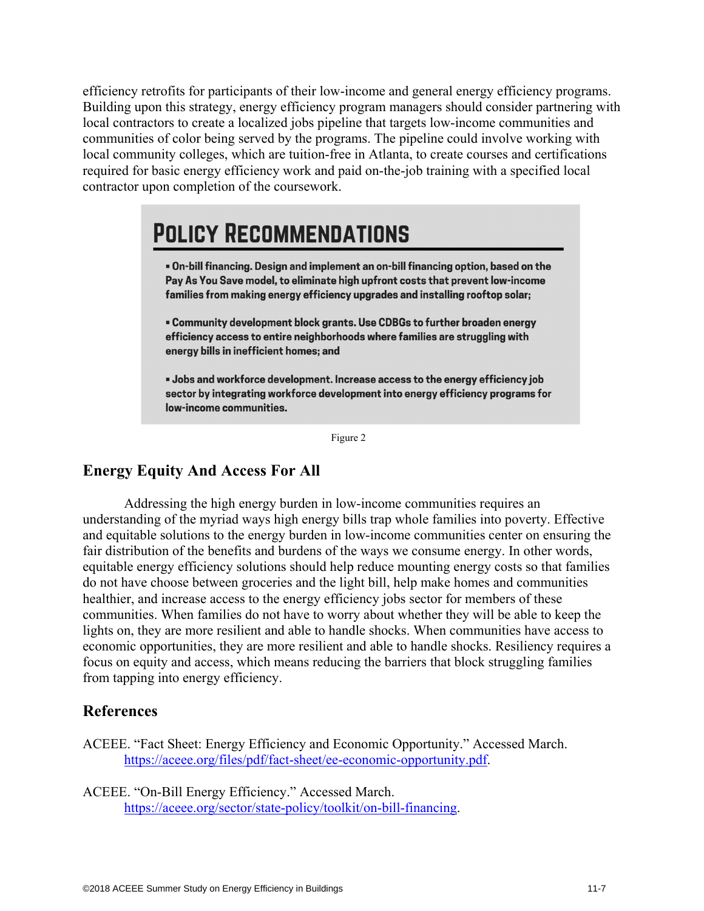efficiency retrofits for participants of their low-income and general energy efficiency programs. Building upon this strategy, energy efficiency program managers should consider partnering with local contractors to create a localized jobs pipeline that targets low-income communities and communities of color being served by the programs. The pipeline could involve working with local community colleges, which are tuition-free in Atlanta, to create courses and certifications required for basic energy efficiency work and paid on-the-job training with a specified local contractor upon completion of the coursework.

## **POLICY RECOMMENDATIONS**

. On-bill financing. Design and implement an on-bill financing option, based on the Pay As You Save model, to eliminate high upfront costs that prevent low-income families from making energy efficiency upgrades and installing rooftop solar;

. Community development block grants. Use CDBGs to further broaden energy efficiency access to entire neighborhoods where families are struggling with energy bills in inefficient homes; and

. Jobs and workforce development. Increase access to the energy efficiency job sector by integrating workforce development into energy efficiency programs for low-income communities.

Figure 2

## **Energy Equity And Access For All**

Addressing the high energy burden in low-income communities requires an understanding of the myriad ways high energy bills trap whole families into poverty. Effective and equitable solutions to the energy burden in low-income communities center on ensuring the fair distribution of the benefits and burdens of the ways we consume energy. In other words, equitable energy efficiency solutions should help reduce mounting energy costs so that families do not have choose between groceries and the light bill, help make homes and communities healthier, and increase access to the energy efficiency jobs sector for members of these communities. When families do not have to worry about whether they will be able to keep the lights on, they are more resilient and able to handle shocks. When communities have access to economic opportunities, they are more resilient and able to handle shocks. Resiliency requires a focus on equity and access, which means reducing the barriers that block struggling families from tapping into energy efficiency.

### **References**

ACEEE. "Fact Sheet: Energy Efficiency and Economic Opportunity." Accessed March. https://aceee.org/files/pdf/fact-sheet/ee-economic-opportunity.pdf.

ACEEE. "On-Bill Energy Efficiency." Accessed March. https://aceee.org/sector/state-policy/toolkit/on-bill-financing.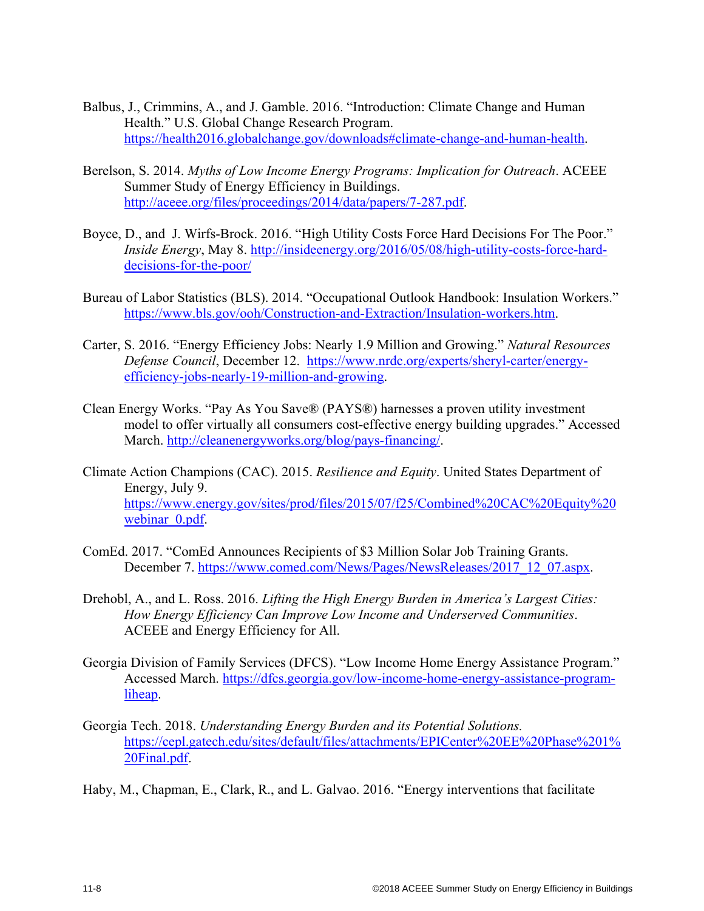- Balbus, J., Crimmins, A., and J. Gamble. 2016. "Introduction: Climate Change and Human Health." U.S. Global Change Research Program. https://health2016.globalchange.gov/downloads#climate-change-and-human-health.
- Berelson, S. 2014. *Myths of Low Income Energy Programs: Implication for Outreach*. ACEEE Summer Study of Energy Efficiency in Buildings. http://aceee.org/files/proceedings/2014/data/papers/7-287.pdf.
- Boyce, D., and J. Wirfs-Brock. 2016. "High Utility Costs Force Hard Decisions For The Poor." *Inside Energy*, May 8. http://insideenergy.org/2016/05/08/high-utility-costs-force-harddecisions-for-the-poor/
- Bureau of Labor Statistics (BLS). 2014. "Occupational Outlook Handbook: Insulation Workers." https://www.bls.gov/ooh/Construction-and-Extraction/Insulation-workers.htm.
- Carter, S. 2016. "Energy Efficiency Jobs: Nearly 1.9 Million and Growing." *Natural Resources Defense Council*, December 12. https://www.nrdc.org/experts/sheryl-carter/energyefficiency-jobs-nearly-19-million-and-growing.
- Clean Energy Works. "Pay As You Save® (PAYS®) harnesses a proven utility investment model to offer virtually all consumers cost-effective energy building upgrades." Accessed March. http://cleanenergyworks.org/blog/pays-financing/.
- Climate Action Champions (CAC). 2015. *Resilience and Equity*. United States Department of Energy, July 9. https://www.energy.gov/sites/prod/files/2015/07/f25/Combined%20CAC%20Equity%20 webinar 0.pdf.
- ComEd. 2017. "ComEd Announces Recipients of \$3 Million Solar Job Training Grants. December 7. https://www.comed.com/News/Pages/NewsReleases/2017\_12\_07.aspx.
- Drehobl, A., and L. Ross. 2016. *Lifting the High Energy Burden in America's Largest Cities: How Energy Efficiency Can Improve Low Income and Underserved Communities*. ACEEE and Energy Efficiency for All.
- Georgia Division of Family Services (DFCS). "Low Income Home Energy Assistance Program." Accessed March. https://dfcs.georgia.gov/low-income-home-energy-assistance-programliheap.
- Georgia Tech. 2018. *Understanding Energy Burden and its Potential Solutions.* https://cepl.gatech.edu/sites/default/files/attachments/EPICenter%20EE%20Phase%201% 20Final.pdf.

Haby, M., Chapman, E., Clark, R., and L. Galvao. 2016. "Energy interventions that facilitate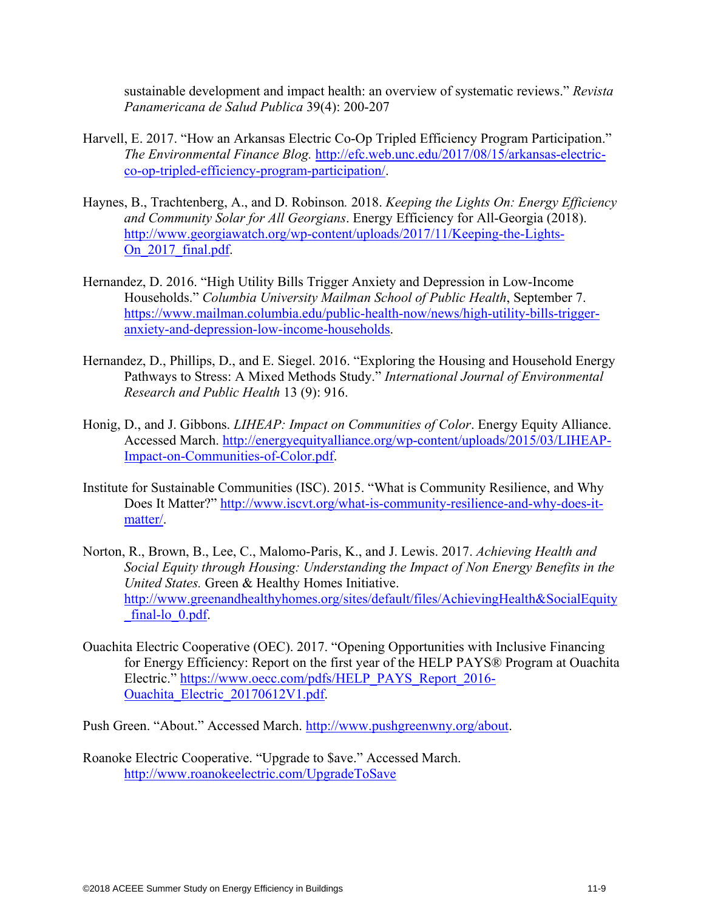sustainable development and impact health: an overview of systematic reviews." *Revista Panamericana de Salud Publica* 39(4): 200-207

- Harvell, E. 2017. "How an Arkansas Electric Co-Op Tripled Efficiency Program Participation." *The Environmental Finance Blog.* http://efc.web.unc.edu/2017/08/15/arkansas-electricco-op-tripled-efficiency-program-participation/.
- Haynes, B., Trachtenberg, A., and D. Robinson*.* 2018. *Keeping the Lights On: Energy Efficiency and Community Solar for All Georgians*. Energy Efficiency for All-Georgia (2018). http://www.georgiawatch.org/wp-content/uploads/2017/11/Keeping-the-Lights-On 2017 final.pdf.
- Hernandez, D. 2016. "High Utility Bills Trigger Anxiety and Depression in Low-Income Households." *Columbia University Mailman School of Public Health*, September 7. https://www.mailman.columbia.edu/public-health-now/news/high-utility-bills-triggeranxiety-and-depression-low-income-households.
- Hernandez, D., Phillips, D., and E. Siegel. 2016. "Exploring the Housing and Household Energy Pathways to Stress: A Mixed Methods Study." *International Journal of Environmental Research and Public Health* 13 (9): 916.
- Honig, D., and J. Gibbons. *LIHEAP: Impact on Communities of Color*. Energy Equity Alliance. Accessed March. http://energyequityalliance.org/wp-content/uploads/2015/03/LIHEAP-Impact-on-Communities-of-Color.pdf.
- Institute for Sustainable Communities (ISC). 2015. "What is Community Resilience, and Why Does It Matter?" http://www.iscvt.org/what-is-community-resilience-and-why-does-itmatter/.
- Norton, R., Brown, B., Lee, C., Malomo-Paris, K., and J. Lewis. 2017. *Achieving Health and Social Equity through Housing: Understanding the Impact of Non Energy Benefits in the United States.* Green & Healthy Homes Initiative. http://www.greenandhealthyhomes.org/sites/default/files/AchievingHealth&SocialEquity final-lo 0.pdf.
- Ouachita Electric Cooperative (OEC). 2017. "Opening Opportunities with Inclusive Financing for Energy Efficiency: Report on the first year of the HELP PAYS® Program at Ouachita Electric." https://www.oecc.com/pdfs/HELP\_PAYS\_Report\_2016-Ouachita\_Electric\_20170612V1.pdf.

Push Green. "About." Accessed March. http://www.pushgreenwny.org/about.

Roanoke Electric Cooperative. "Upgrade to \$ave." Accessed March. http://www.roanokeelectric.com/UpgradeToSave